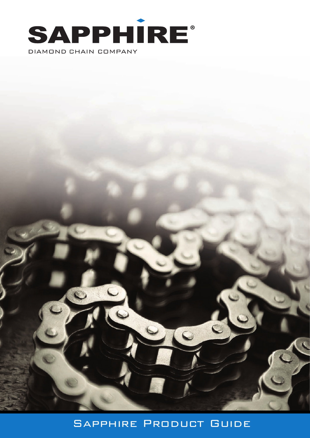



 $\mathbf C$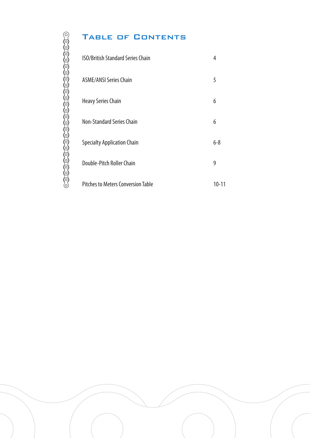# 

# TABLE OF CONTENTS

| <b>ISO/British Standard Series Chain</b>  | 4         |
|-------------------------------------------|-----------|
| <b>ASME/ANSI Series Chain</b>             | 5         |
| <b>Heavy Series Chain</b>                 | 6         |
| <b>Non-Standard Series Chain</b>          | 6         |
| <b>Specialty Application Chain</b>        | $6 - 8$   |
| Double-Pitch Roller Chain                 | 9         |
| <b>Pitches to Meters Conversion Table</b> | $10 - 11$ |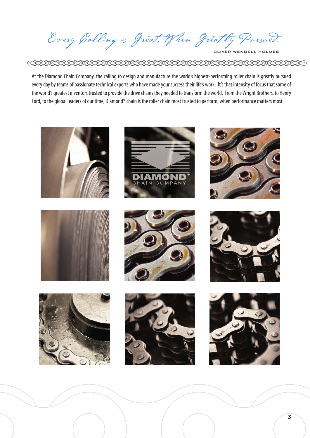Every Galling is Great, When Greatly Pursued.

At the Diamond Chain Company, the calling to design and manufacture the world's highest-performing roller chain is greatly pursued every day by teams of passionate technical experts who have made your success their life's work. It's that intensity of focus that some of the world's greatest inventors trusted to provide the drive chains they needed to transform the world. From the Wright Brothers, to Henry Ford, to the global leaders of our time, Diamond® chain is the roller chain most trusted to perform, when performance matters most.

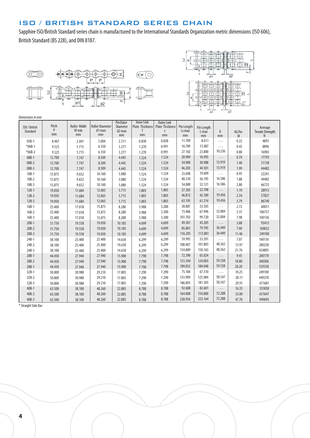# ISO / BRITISH STANDARD SERIES CHAIN

Sapphire ISO/British Standard series chain is manufactured to the International Standards Organization metric dimensions (ISO 606), British Standard (BS 228), and DIN 8187.





| ISO / British<br>Standard | Pitch<br>P<br>mm | <b>Roller Width</b><br>W min<br>mm | <b>Roller Diameter</b><br>d1 max<br>mm | Pin Outer<br>Diameter<br>d <sub>2</sub> max<br>mm | <b>Inner Link</b><br>Plate Thickness<br>T<br>mm | <b>Outer Link</b><br>Plate Thickness<br>t<br>mm | Pin Length<br><b>Lcmax</b><br>mm | Pin Length<br>L max<br>mm | К<br>mm  | <b>KG Per</b><br>M | Average<br>Tensile Strength<br>N |
|---------------------------|------------------|------------------------------------|----------------------------------------|---------------------------------------------------|-------------------------------------------------|-------------------------------------------------|----------------------------------|---------------------------|----------|--------------------|----------------------------------|
| $05B-1$                   | 8.467            | 2.997                              | 5.004                                  | 2.311                                             | 0.838                                           | 0.838                                           | 11.709                           | 8.611                     | .        | 0.22               | 4893                             |
| $*06B-1$                  | 9.525            | 5.715                              | 6.350                                  | 3.277                                             | 1.270                                           | 0.991                                           | 16.789                           | 13.487                    | .        | 0.45               | 8896                             |
| $*06B-2$                  | 9.525            | 5.715                              | 6.350                                  | 3.277                                             | 1.270                                           | 0.991                                           | 27.102                           | 23.800                    | 10.236   | 0.80               | 16903                            |
| 08B-1                     | 12.700           | 7.747                              | 8.509                                  | 4.445                                             | 1.524                                           | 1.524                                           | 20.904                           | 16.993                    | $\cdots$ | 0.74               | 17793                            |
| $08B - 2$                 | 12.700           | 7.747                              | 8.509                                  | 4.445                                             | 1.524                                           | 1.524                                           | 34.900                           | 30.988                    | 13.919   | 1.40               | 31138                            |
| 08B-3                     | 12.700           | 7.747                              | 8.509                                  | 4.445                                             | 1.524                                           | 1.524                                           | 46.203                           | 44.501                    | 13.919   | 1.99               | 44482                            |
| $10B-1$                   | 15.875           | 9.652                              | 10.160                                 | 5.080                                             | 1.524                                           | 1.524                                           | 23.698                           | 19.609                    | .        | 0.95               | 22241                            |
| $10B-2$                   | 15.875           | 9.652                              | 10.160                                 | 5.080                                             | 1.524                                           | 1.524                                           | 40.310                           | 36.195                    | 16.586   | 1.88               | 44482                            |
| $10B-3$                   | 15.875           | 9.652                              | 10.160                                 | 5.080                                             | 1.524                                           | 1.524                                           | 54.000                           | 52.121                    | 16.586   | 2.80               | 66723                            |
| $12B-1$                   | 19.050           | 11.684                             | 12.065                                 | 5.715                                             | 1.803                                           | 1.803                                           | 27.305                           | 22.708                    | $\cdots$ | 1.19               | 28913                            |
| $12B-2$                   | 19.050           | 11.684                             | 12.065                                 | 5.715                                             | 1.803                                           | 1.803                                           | 46.812                           | 42.189                    | 19.456   | 2.34               | 57827                            |
| $12B-3$                   | 19.050           | 11.684                             | 12.065                                 | 5.715                                             | 1.803                                           | 1.803                                           | 63.195                           | 61.214                    | 19.456   | 3.79               | 86740                            |
| $16B-1$                   | 25.400           | 17.018                             | 15.875                                 | 8.280                                             | 3.988                                           | 3.200                                           | 38.887                           | 33.503                    | .        | 2.72               | 60051                            |
| $16B-2$                   | 25.400           | 17.018                             | 15.875                                 | 8.280                                             | 3.988                                           | 3.200                                           | 73.406                           | 67.996                    | 32.004   | 5.37               | 106757                           |
| $16B-3$                   | 25.400           | 17.018                             | 15.875                                 | 8.280                                             | 3.988                                           | 3.200                                           | 101.702                          | 99.720                    | 32.004   | 7.98               | 160136                           |
| $20B-1$                   | 31.750           | 19.558                             | 19.050                                 | 10.185                                            | 4.699                                           | 4.699                                           | 49.301                           | 43.205                    | .        | 3.88               | 93413                            |
| $20B-2$                   | 31.750           | 19.558                             | 19.050                                 | 10.185                                            | 4.699                                           | 4.699                                           | 85.801                           | 79.705                    | 36.449   | 7.66               | 169032                           |
| $20B-3$                   | 31.750           | 19.558                             | 19.050                                 | 10.185                                            | 4.699                                           | 4.699                                           | 116.205                          | 113.081                   | 36.449   | 11.46              | 249100                           |
| $24B-1$                   | 38.100           | 25.400                             | 25.400                                 | 14.630                                            | 6.299                                           | 6.299                                           | 59.995                           | 53.391                    | .        | 7.07               | 160136                           |
| $24B-2$                   | 38.100           | 25.400                             | 25.400                                 | 14.630                                            | 6.299                                           | 6.299                                           | 108.407                          | 101.803                   | 48.362   | 13.97              | 280238                           |
| $24B-3$                   | 38.100           | 25.400                             | 25.400                                 | 14.630                                            | 6.299                                           | 6.299                                           | 154.889                          | 150.165                   | 48.362   | 21.76              | 424805                           |
| $28B-1$                   | 44.450           | 27.940                             | 27.940                                 | 15.900                                            | 7.798                                           | 7.798                                           | 72.390                           | 65.024                    | .        | 9.45               | 200170                           |
| $28B-2$                   | 44.450           | 27.940                             | 27.940                                 | 15.900                                            | 7.798                                           | 7.798                                           | 131.394                          | 124.003                   | 59.538   | 18.80              | 360306                           |
| $28B-1$                   | 44.450           | 27.940                             | 27.940                                 | 15.900                                            | 7.798                                           | 7.798                                           | 189.052                          | 184.048                   | 59.538   | 28.20              | 529338                           |
| $32B-1$                   | 50.800           | 30.988                             | 29.210                                 | 17.805                                            | 7.290                                           | 7.290                                           | 75.184                           | 67.310                    | .        | 10.25              | 249100                           |
| $32B-2$                   | 50.800           | 30.988                             | 29.210                                 | 17.805                                            | 7.290                                           | 7.290                                           | 133.909                          | 125.984                   | 58.547   | 20.11              | 449270                           |
| $32B-3$                   | 50.800           | 30.988                             | 29.210                                 | 17.805                                            | 7.290                                           | 7.290                                           | 186.893                          | 181.305                   | 58.547   | 29.91              | 671681                           |
| $40B - 1$                 | 63.500           | 38.100                             | 48.260                                 | 22.885                                            | 8.788                                           | 8.788                                           | 92.608                           | 82.601                    | .        | 16.35              | 355858                           |
| $40B-2$                   | 63.500           | 38.100                             | 48.260                                 | 22.885                                            | 8.788                                           | 8.788                                           | 164.008                          | 154.000                   | 72.288   | 32.00              | 631647                           |
| $40B-3$                   | 63.500           | 38.100                             | 48.260                                 | 22.885                                            | 8.788                                           | 8.788                                           | 228.956                          | 223.164                   | 72.288   | 47.76              | 949695                           |

\* Straight Side Bar.

*Dimensions in mm*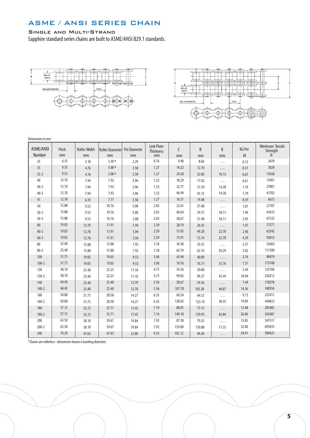# ASME / ANSI SERIES CHAIN

### Single and Multi-Strand

Sapphire standard series chains are built to ASME/ANSI B29.1 standards.





*Dimensions in mm*

| ASME/ANSI<br>Number | Pitch<br>mm | <b>Roller Width</b><br>mm | Roller Diameter Pin Diameter<br>mm | mm    | <b>Link Plate</b><br>Thickness<br>mm | C<br>mm | R<br>mm | K<br>mm  | <b>KG Per</b><br>M | Minimum Tensile<br>Strength<br>N |
|---------------------|-------------|---------------------------|------------------------------------|-------|--------------------------------------|---------|---------|----------|--------------------|----------------------------------|
| 25                  | 6.35        | 3.18                      | $3.30*$                            | 2.29  | 0.76                                 | 9.40    | 8.64    | .        | 0.13               | 3470                             |
| 35                  | 9.53        | 4.76                      | $5.08*$                            | 3.58  | 1.27                                 | 14.22   | 12.70   | $\ldots$ | 0.31               | 7829                             |
| $35 - 2$            | 9.53        | 4.76                      | $5.08*$                            | 3.58  | 1.27                                 | 24.38   | 22.86   | 10.13    | 0.67               | 15658                            |
| 40                  | 12.70       | 7.94                      | 7.92                               | 3.96  | 1.52                                 | 18.29   | 17.02   | $\cdots$ | 0.61               | 13901                            |
| $40 - 2$            | 12.70       | 7.94                      | 7.92                               | 3.96  | 1.52                                 | 32.77   | 31.50   | 14.38    | 1.19               | 27801                            |
| $40 - 3$            | 12.70       | 7.94                      | 7.92                               | 3.96  | 1.52                                 | 46.99   | 45.72   | 14.38    | 1.79               | 41702                            |
| 41                  | 12.70       | 6.35                      | 7.77                               | 3.58  | 1.27                                 | 16.51   | 14.48   | $\ldots$ | 0.39               | 6672                             |
| 50                  | 15.88       | 9.53                      | 10.16                              | 5.08  | 2.03                                 | 22.61   | 21.08   | $\cdots$ | 1.01               | 21707                            |
| $50 - 2$            | 15.88       | 9.53                      | 10.16                              | 5.08  | 2.03                                 | 40.64   | 39.37   | 18.11    | 1.96               | 43415                            |
| $50 - 3$            | 15.88       | 9.53                      | 10.16                              | 5.08  | 2.03                                 | 58.67   | 57.40   | 18.11    | 2.95               | 65122                            |
| 60                  | 19.05       | 12.70                     | 11.91                              | 5.94  | 2.39                                 | 28.19   | 26.42   | $\ldots$ | 1.47               | 31271                            |
| $60 - 2$            | 19.05       | 12.70                     | 11.91                              | 5.94  | 2.39                                 | 51.05   | 49.28   | 22.78    | 2.90               | 62542                            |
| $60 - 3$            | 19.05       | 12.70                     | 11.91                              | 5.94  | 2.39                                 | 73.91   | 72.14   | 22.78    | 4.29               | 93813                            |
| 80                  | 25.40       | 15.88                     | 15.88                              | 7.92  | 3.18                                 | 36.58   | 33.53   | $\ldots$ | 2.57               | 55603                            |
| $80 - 2$            | 25.40       | 15.88                     | 15.88                              | 7.92  | 3.18                                 | 65.79   | 62.74   | 29.29    | 5.02               | 111206                           |
| 100                 | 31.75       | 19.05                     | 19.05                              | 9.53  | 3.96                                 | 43.94   | 40.89   | $\cdots$ | 3.74               | 86874                            |
| $100 - 2$           | 31.75       | 19.05                     | 19.05                              | 9.53  | 3.96                                 | 79.76   | 76.71   | 35.76    | 7.31               | 173748                           |
| 120                 | 38.10       | 25.40                     | 22.23                              | 11.10 | 4.75                                 | 54.36   | 50.80   | $\ldots$ | 5.49               | 125106                           |
| $120 - 2$           | 38.10       | 25.40                     | 22.23                              | 11.10 | 4.75                                 | 99.82   | 96.27   | 45.44    | 10.94              | 250212                           |
| 140                 | 44.45       | 25.40                     | 25.40                              | 12.70 | 5.56                                 | 58.67   | 54.36   | $\ldots$ | 7.44               | 170278                           |
| $140 - 2$           | 44.45       | 25.40                     | 25.40                              | 12.70 | 5.56                                 | 107.70  | 103.38  | 48.87    | 14.36              | 340556                           |
| 160                 | 50.80       | 31.75                     | 28.58                              | 14.27 | 6.35                                 | 69.34   | 64.52   | $\cdots$ | 9.72               | 222411                           |
| $160 - 2$           | 50.80       | 31.75                     | 28.58                              | 14.27 | 6.35                                 | 128.02  | 123.19  | 58.55    | 19.09              | 444822                           |
| 180                 | 57.15       | 35.72                     | 35.71                              | 17.45 | 7.14                                 | 80.01   | 73.15   | $\cdots$ | 13.48              | 281483                           |
| $180 - 2$           | 57.15       | 35.72                     | 35.71                              | 17.45 | 7.14                                 | 149.10  | 139.95  | 65.84    | 26.06              | 563487                           |
| 200                 | 63.50       | 38.10                     | 39.67                              | 19.84 | 7.92                                 | 87.38   | 79.25   | $\cdots$ | 15.85              | 347517                           |
| $200 - 2$           | 63.50       | 38.10                     | 39.67                              | 19.84 | 7.92                                 | 159.00  | 150.88  | 71.55    | 32.00              | 695035                           |
| 240                 | 76.20       | 47.63                     | 47.63                              | 23.80 | 9.53                                 | 103.12  | 94.49   | .        | 24.41              | 500425                           |

\*Chains are rollerless - dimension shown is bushing diameter.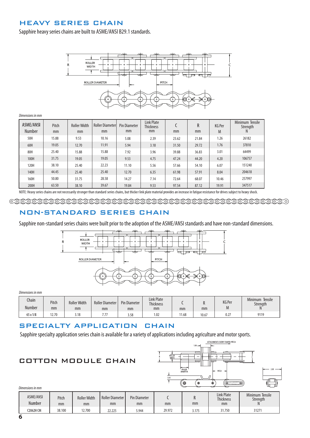# HEAVY SERIES CHAIN

Sapphire heavy series chains are built to ASME/ANSI B29.1 standards.



### *Dimensions in mm*

| ASME/ANSI<br><b>Number</b> | Pitch<br>mm | <b>Roller Width</b><br>mm | <b>Roller Diameterl</b><br>mm | <b>Pin Diameter</b><br>mm | <b>Link Plate</b><br><b>Thickness</b><br>mm | mm    | R<br>mm | <b>KG Per</b><br>M | Minimum Tensile<br>Strength |
|----------------------------|-------------|---------------------------|-------------------------------|---------------------------|---------------------------------------------|-------|---------|--------------------|-----------------------------|
| 50H                        | 15.88       | 9.53                      | 10.16                         | 5.08                      | 2.39                                        | 23.62 | 21.84   | 1.26               | 26182                       |
| 60H                        | 19.05       | 12.70                     | 11.91                         | 5.94                      | 3.18                                        | 31.50 | 29.72   | 1.76               | 37810                       |
| 80H                        | 25.40       | 15.88                     | 15.88                         | 7.92                      | 3.96                                        | 39.88 | 36.83   | 3.01               | 64499                       |
| 100H                       | 31.75       | 19.05                     | 19.05                         | 9.53                      | 4.75                                        | 47.24 | 44.20   | 4.20               | 106757                      |
| 120H                       | 38.10       | 25.40                     | 22.23                         | 11.10                     | 5.56                                        | 57.66 | 54.10   | 6.07               | 151240                      |
| 140H                       | 44.45       | 25.40                     | 25.40                         | 12.70                     | 6.35                                        | 61.98 | 57.91   | 8.04               | 204618                      |
| 160H                       | 50.80       | 31.75                     | 28.58                         | 14.27                     | 7.14                                        | 72.64 | 68.07   | 10.46              | 257997                      |
| 200H                       | 63.50       | 38.10                     | 39.67                         | 19.84                     | 9.53                                        | 97.54 | 87.12   | 19.91              | 347517                      |

NOTE: Heavy series chains are not necessarily stronger than standard series chains, but thicker link plate material provides an increase in fatigue resistance for drives subject to heavy shock.

### NON-STANDARD SERIES CHAIN

 $\overline{R}$ 

Sapphire non-standard series chains were built prior to the adoption of the ASME/ANSI standards and have non-standard dimensions.



*Dimensions in mm*

| Chain<br>Number | Pitch<br>mm | <b>Roller Width</b><br>mm | <b>Roller Diameter</b><br>mm | <b>Pin Diameter</b><br>mm | <b>Link Plate</b><br>Thickness<br>mm | mm    | mm    | <b>KG Per</b><br><b>IVI</b> | Minimum Tensile<br>Strenath<br> |
|-----------------|-------------|---------------------------|------------------------------|---------------------------|--------------------------------------|-------|-------|-----------------------------|---------------------------------|
| 65 x 1/8        | 12.70       | 3.18                      | 77<br>$\cdot$                | 3.58                      | 1.02                                 | '1.68 | 10.67 | 0.27                        | 9119                            |

### SPECIALTY APPLICATION CHAIN

Sapphire specialty application series chain is available for a variety of applications including agriculture and motor sports.

# COTTON MODULE CHAIN



| ASME/ANSI<br>Number | Pitch<br>mm | <b>Roller Width</b><br>mm | <b>Roller Diameter</b><br>mm | <b>Pin Diameter</b><br>mm | mm     | mm    | <b>Link Plate</b><br><b>Thickness</b><br>mm | Minimum Tensile<br>Strenath |
|---------------------|-------------|---------------------------|------------------------------|---------------------------|--------|-------|---------------------------------------------|-----------------------------|
| 12062H CM           | 38.100      | 12.700                    | 22.225                       | 5.944                     | 29.972 | 3.175 | 31.750                                      | 31271                       |

*Dimensions in mm*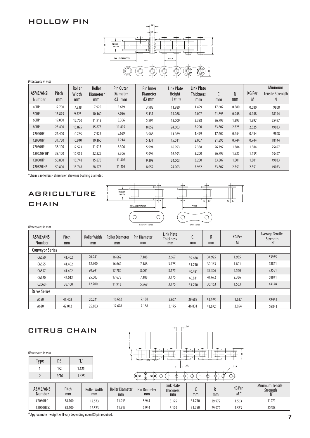# HOLLOW PIN



| Dimensions in mm    |             |                       |                           |                                  |                                       |                                |                                      |        |         |                    |                                  |  |  |
|---------------------|-------------|-----------------------|---------------------------|----------------------------------|---------------------------------------|--------------------------------|--------------------------------------|--------|---------|--------------------|----------------------------------|--|--|
| ASME/ANSI<br>Number | Pitch<br>mm | Roller<br>Width<br>mm | Roller<br>Diameter*<br>mm | Pin Outer<br>Diameter<br>$d2$ mm | Pin Inner<br><b>Diameter</b><br>d3 mm | Link Plate<br>Height<br>$H$ mm | Link Plate<br><b>Thickness</b><br>mm | mm     | R<br>mm | <b>KG Per</b><br>M | Minimum<br>Tensile Strength<br>N |  |  |
| 40HP                | 12.700      | 7.938                 | 7.925                     | 5.639                            | 3.988                                 | 11.989                         | 1.499                                | 17.602 | 0.580   | 0.580              | 9808                             |  |  |
| 50HP                | 15.875      | 9.525                 | 10.160                    | 7.036                            | 5.131                                 | 15.088                         | 2.007                                | 21.895 | 0.948   | 0.948              | 18144                            |  |  |
| 60HP                | 19.050      | 12.700                | 11.913                    | 8.306                            | 5.994                                 | 18.009                         | 2.388                                | 26.797 | 1.397   | 1.397              | 25497                            |  |  |
| 80HP                | 25.400      | 15.875                | 15.875                    | 11.405                           | 8.052                                 | 24.003                         | 3.200                                | 33.807 | 2.525   | 2.525              | 49033                            |  |  |
| <b>C2040HP</b>      | 25.400      | 0.785                 | 7.925                     | 5.639                            | 3.988                                 | 11.989                         | 1.499                                | 17.602 | 0.454   | 0.454              | 9808                             |  |  |
| <b>C2050HP</b>      | 31.750      | 0.940                 | 10.160                    | 7.214                            | 5.131                                 | 15.011                         | 2.007                                | 21.895 | 0.744   | 0.744              | 18144                            |  |  |
| <b>C2060HP</b>      | 38.100      | 12.573                | 11.913                    | 8.306                            | 5.994                                 | 16.993                         | 2.388                                | 26.797 | 1.384   | 1.384              | 25497                            |  |  |
| <b>C2062HP HP</b>   | 38.100      | 12.573                | 22.225                    | 8.306                            | 5.994                                 | 16.993                         | 3.200                                | 26.797 | 1.935   | 1.935              | 25497                            |  |  |
| <b>C2080HP</b>      | 50.800      | 15.748                | 15.875                    | 11.405                           | 9.398                                 | 24.003                         | 3.200                                | 33.807 | 1.801   | 1.801              | 49033                            |  |  |
| <b>C2082H HP</b>    | 50.800      | 15.748                | 28.575                    | 11.405                           | 8.052                                 | 24.003                         | 3.962                                | 33.807 | 2.351   | 2.351              | 49033                            |  |  |

\*Chain is rollerless - dimension shown is bushing diameter.

# AGRICULTURE **CHAIN**

*Dimensions in mm*



| ASME/ANSI<br>Number    | Pitch<br>mm | <b>Roller Width</b><br>mm | Roller Diameter<br>mm | <b>Pin Diameter</b><br>mm | <b>Link Plate</b><br><b>Thickness</b><br>mm | mm     | R<br>mm | <b>KG Per</b><br>M | Average Tensile<br>Strength<br>N. |
|------------------------|-------------|---------------------------|-----------------------|---------------------------|---------------------------------------------|--------|---------|--------------------|-----------------------------------|
| <b>Conveyor Series</b> |             |                           |                       |                           |                                             |        |         |                    |                                   |
| CA550                  | 41.402      | 20.241                    | 16.662                | 7.188                     | 2.667                                       | 39.688 | 34.925  | 1.935              | 53935                             |
| CA555                  | 41.402      | 12.700                    | 16.662                | 7.188                     | 3.175                                       | 31.750 | 30.163  | 1.801              | 58841                             |
| CA557                  | 41.402      | 20.241                    | 17.780                | 8.001                     | 3.175                                       | 40.481 | 37.306  | 2.560              | 73551                             |
| CA620                  | 42.012      | 25.003                    | 17.678                | 7.188                     | 3.175                                       | 46.831 | 41.672  | 2.336              | 58841                             |
| C2060H                 | 38.100      | 12.700                    | 11.913                | 5.969                     | 3.175                                       | 31.750 | 30.163  | 1.563              | 43148                             |
| <b>Drive Series</b>    |             |                           |                       |                           |                                             |        |         |                    |                                   |
| A550                   | 41.402      | 20.241                    | 16.662                | 7.188                     | 2.667                                       | 39.688 | 34.925  | 1.637              | 53935                             |
| A620                   | 42.012      | 25.003                    | 17.678                | 7.188                     | 3.175                                       | 46.831 | 41.672  | 2.054              | 58841                             |



\*Approximate - weight will vary depending upon D5 pin required.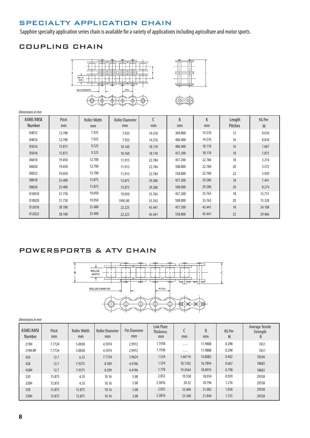# SPECIALTY APPLICATION CHAIN

Sapphire specialty application series chain is available for a variety of applications including agriculture and motor sports.

# COUPLING CHAIN







| ASME/ANSI | Pitch  | <b>Roller Width</b> | <b>Roller Diameter</b> | C      | R       | K      | Length  | <b>KG Per</b> |
|-----------|--------|---------------------|------------------------|--------|---------|--------|---------|---------------|
| Number    | mm     | mm                  | mm                     | mm     | mm      | mm     | Pitches | M             |
| D4012     | 12.700 | 7.925               | 7.925                  | 14.376 | 304.800 | 14.376 | 12      | 0.610         |
| D4016     | 12.700 | 7.925               | 7.925                  | 14.376 | 406.400 | 14.376 | 16      | 0.818         |
| D5016     | 15.875 | 9.525               | 10.160                 | 18.110 | 406.400 | 18.110 | 16      | 1.667         |
| D5018     | 15.875 | 9.525               | 10.160                 | 18.110 | 457.200 | 18.110 | 18      | 1.875         |
| D6018     | 19.050 | 12.700              | 11.913                 | 22.784 | 457.200 | 22.784 | 18      | 3.214         |
| D6020     | 19.050 | 12.700              | 11.913                 | 22.784 | 508.000 | 22.784 | 20      | 3.572         |
| D6022     | 19.050 | 12.700              | 11.913                 | 22.784 | 558.800 | 22.784 | 22      | 3.929         |
| D8018     | 25.400 | 15.875              | 15.875                 | 29.286 | 457.200 | 29.286 | 18      | 7.441         |
| D8020     | 25,400 | 15.875              | 15.875                 | 29.286 | 508.000 | 29.286 | 20      | 8.274         |
| D10018    | 31.750 | 19.050              | 19.050                 | 35.763 | 457.200 | 35.763 | 18      | 13.751        |
| D10020    | 31.750 | 19.050              | 1905.00                | 35.763 | 508.000 | 35.763 | 20      | 15.328        |
| D12018    | 38.100 | 25.400              | 22.225                 | 45.441 | 457.200 | 45.441 | 18      | 24.108        |
| D12022    | 38.100 | 25,400              | 22.225                 | 45.441 | 558.800 | 45.441 | 22      | 29.466        |

### POWERSPORTS & ATV CHAIN



| ASME/ANSI<br>Number | Pitch<br>mm | <b>Roller Width</b><br>mm | <b>Roller Diameter</b><br>mm | <b>Pin Diameter</b><br>mm | Link Plate<br><b>Thickness</b><br>mm | mm      | R<br>mm | <b>KG Per</b><br>M | Average Tensile<br>Strength<br>N. |
|---------------------|-------------|---------------------------|------------------------------|---------------------------|--------------------------------------|---------|---------|--------------------|-----------------------------------|
| 219H                | 7.7724      | 5.0038                    | 4.5974                       | 2.9972                    | 1.1938                               | .       | 11.9888 | 0.298              | 7651                              |
| 219H BP             | 7.7724      | 5.0038                    | 4.5974                       | 2.9972                    | 1.1938                               | .       | 11.9888 | 0.298              | 7651                              |
| 420                 | 12.7        | 6.35                      | 7.7724                       | 3.9624                    | 1.524                                | 1.66116 | 14.8082 | 0.402              | 18104                             |
| 428                 | 12.7        | 7.9375                    | 8.509                        | 4.4196                    | 1.524                                | 18.1102 | 16.7894 | 0.667              | 18683                             |
| 428H                | 12.7        | 7.9375                    | 8.509                        | 4.4196                    | 1.778                                | 19.4564 | 18.8976 | 0.798              | 18683                             |
| 520                 | 15.875      | 6.35                      | 10.16                        | 5.08                      | 2.032                                | 19.558  | 18.034  | 0.939              | 29358                             |
| 520H                | 15.875      | 6.35                      | 10.16                        | 5.08                      | 2.3876                               | 20.32   | 18.796  | 1.216              | 29358                             |
| 530                 | 15.875      | 15.875                    | 10.16                        | 5.08                      | 2.032                                | 22.606  | 21.082  | 1.058              | 29358                             |
| 530H                | 15.875      | 15.875                    | 10.16                        | 5.08                      | 2.3876                               | 23.368  | 21.844  | 1.335              | 29358                             |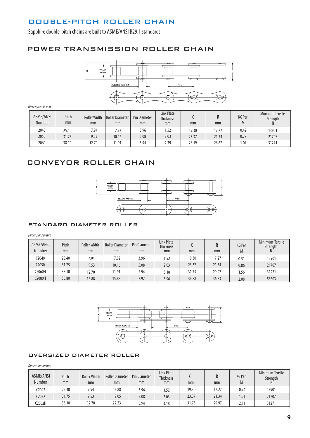## DOUBLE-PITCH ROLLER CHAIN

Sapphire double-pitch chains are built to ASME/ANSI B29.1 standards.

### POWER TRANSMISSION ROLLER CHAIN



*Dimensions in mm*

| <b>ASME/ANSI</b><br><b>Number</b> | Pitch<br>mm | <b>Roller Width</b><br>mm | Roller Diameter<br>mm | <b>Pin Diameter</b><br>mm | <b>Link Plate</b><br><b>Thickness</b><br>mm | mm    | R<br>mm | <b>KG Per</b><br>I۷I | <b>Minimum Tensile</b><br>Strength<br>N |
|-----------------------------------|-------------|---------------------------|-----------------------|---------------------------|---------------------------------------------|-------|---------|----------------------|-----------------------------------------|
| 2040                              | 25.40       | 7.94                      | 7.92                  | 3.96                      | 1.52                                        | 19.30 | 17.27   | 0.42                 | 13901                                   |
| 2050                              | 31.75       | 9.53                      | 10.16                 | 5.08                      | 2.03                                        | 23.37 | 21.34   | 0.77                 | 21707                                   |
| 2060                              | 38.10       | 12.70                     | 11.91                 | 5.94                      | 2.39                                        | 28.19 | 26.67   | .07                  | 31271                                   |

### CONVEYOR ROLLER CHAIN



### STANDARD DIAMETER ROLLER

*Dimensions in mm*

| <b>ASME/ANSI</b><br><b>Number</b> | Pitch<br>mm | <b>Roller Width</b><br>mm | Roller Diameter<br>mm | <b>Pin Diameter</b><br>mm | <b>Link Plate</b><br><b>Thickness</b><br>mm | mm    | mm    | <b>KG Per</b><br>M | Minimum Tensile<br>Strength |
|-----------------------------------|-------------|---------------------------|-----------------------|---------------------------|---------------------------------------------|-------|-------|--------------------|-----------------------------|
| 2040                              | 25.40       | 7.94                      | 7.92                  | 3.96                      | 1.52                                        | 19.30 | 17.27 | $0.5^{\circ}$      | 13901                       |
| C2050                             | 31.75       | 9.53                      | 10.16                 | 5.08                      | 2.03                                        | 23.37 | 21.34 | 0.86               | 21707                       |
| C2060H                            | 38.10       | 12.70                     | 11.91                 | 5.94                      | 3.18                                        | 31.75 | 29.97 | l.56               | 31271                       |
| C2080H                            | 50.80       | 15.88                     | 15.88                 | 7.92                      | 3.96                                        | 39.88 | 36.83 | 2.08               | 55603                       |



### OVERSIZED DIAMETER ROLLER

*Dimensions in mm*

| <b>ASME/ANSI</b><br><b>Number</b> | Pitch<br>mm | <b>Roller Width</b><br>mm | <b>Roller Diameter</b><br>mm | <b>Pin Diameter</b><br>mm | Link Plate<br><b>Thickness</b><br>mm | mm    | mm    | <b>KG Per</b><br>M | Minimum Tensile<br>Strength |
|-----------------------------------|-------------|---------------------------|------------------------------|---------------------------|--------------------------------------|-------|-------|--------------------|-----------------------------|
| C2042                             | 25.40       | 7.94                      | 15.88                        | 3.96                      | 1.52                                 | 19.30 | 17.27 | 0.74               | 13901                       |
| C2052                             | 31.75       | 9.53                      | 19.05                        | 5.08                      | 2.03                                 | 23.37 | 21.34 | .21                | 21707                       |
| C2062H                            | 38.10       | 12.70                     | 22.23                        | 5.94                      | 3.18                                 | 31.75 | 29.97 | 2.11               | 31271                       |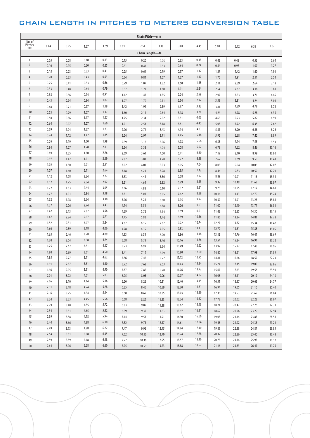# CHAIN LENGTH IN PITCHES TO METERS CONVERSION TABLE

| Chain Pitch-mm          |              |              |              |              |              |                |       |       |              |              |              |              |              |
|-------------------------|--------------|--------------|--------------|--------------|--------------|----------------|-------|-------|--------------|--------------|--------------|--------------|--------------|
| No. of<br>Pitches<br>mm | 0.64         | 0.95         | 1.27         | 1.59         | 1.91         | 2.54           | 3.18  | 3.81  | 4.45         | 5.08         | 5.72         | 6.35         | 7.62         |
|                         |              |              |              |              |              | Chain Length-M |       |       |              |              |              |              |              |
| $\mathbf{1}$            | 0.05         |              | 0.10         | 0.13         | 0.15         | 0.20           | 0.25  | 0.33  | 0.38         | 0.43         |              | 0.53         |              |
| $\overline{2}$          | 0.10         | 0.08<br>0.15 | 0.20         | 0.25         | 0.41         | 0.43           | 0.53  | 0.64  | 0.74         | 0.84         | 0.48<br>0.97 | 1.07         | 0.64<br>1.27 |
| $\overline{3}$          | 0.15         | 0.23         | 0.33         | 0.41         | 0.25         | 0.64           | 0.79  | 0.97  | 1.12         | 1.27         | 1.42         | 1.60         | 1.91         |
| $\overline{4}$          | 0.20         | 0.33         | 0.43         | 0.53         | 0.64         | 0.84           | 1.07  | 1.27  | 1.47         | 1.70         | 1.91         | 2.11         | 2.54         |
| 5                       | 0.25         | 0.41         | 0.53         | 0.66         |              |                |       | 1.60  | 1.85         | 2.11         |              | 2.64         |              |
| 6                       | 0.33         | 0.48         | 0.64         | 0.79         | 0.79<br>0.97 | 1.07<br>1.27   | 1.32  | 1.91  | 2.24         | 2.54         | 2.39<br>2.87 | 3.18         | 3.18<br>3.81 |
| $\overline{7}$          | 0.38         | 0.56         | 0.74         | 0.91         |              |                | 1.60  | 2.24  | 2.59         |              |              |              | 4.45         |
| 8                       | 0.43         | 0.64         | 0.84         | 1.07         | 1.12         | 1.47           | 1.85  | 2.54  | 2.97         | 2.97<br>3.38 | 3.33         | 3.71         |              |
| 9                       |              |              |              | 1.19         | 1.27         | 1.70           | 2.11  | 2.87  | 3.33         |              | 3.81<br>4.29 | 4.24<br>4.78 | 5.08         |
| 10                      | 0.48         | 0.71         | 0.97         |              | 1.42         | 1.91           | 2.39  |       |              | 3.81         |              |              | 5.72         |
| 11                      | 0.53<br>0.58 | 0.79         | 1.07<br>1.17 | 1.32<br>1.27 | 1.60         | 2.11           | 2.64  | 3.18  | 3.71<br>4.06 | 4.24         | 4.78         | 5.28         | 6.35         |
| 12                      |              | 0.86         | 1.27         | 1.60         | 1.75         | 2.34           | 2.92  | 3.51  | 4.45         | 4.65         | 5.23         | 5.82         | 6.99         |
| 13                      | 0.64<br>0.69 | 0.97         | 1.37         | 1.73         | 1.91         | 2.54           | 3.18  | 3.81  | 4.83         | 5.08         | 5.72         | 6.35         | 7.62         |
| 14                      |              | 1.04         |              | 1.85         | 2.06         | 2.74           | 3.43  | 4.14  | 5.18         | 5.51         | 6.20         | 6.88         | 8.26         |
| 15                      | 0.74         | 1.12         | 1.47         |              | 2.24         | 2.97           | 3.71  | 4.45  |              | 5.92         | 6.68         | 7.42         | 8.89         |
|                         | 0.79         | 1.19         | 1.60         | 1.98         | 2.39         | 3.18           | 3.96  | 4.78  | 5.56         | 6.35         | 7.14         | 7.95         | 9.53         |
| 16                      | 0.84         | 1.27         | 1.70         | 2.11         | 2.54         | 3.38           | 4.24  | 5.08  | 5.92         | 6.78         | 7.62         | 8.46         | 10.16        |
| 17<br>18                | 0.89         | 1.35         | 1.80         | 2.26         | 2.69         | 3.61           | 4.50  | 5.41  | 6.30         | 7.19         | 8.10         | 8.99         | 10.80        |
|                         | 0.97         | 1.42         | 1.91         | 2.39         | 2.87         | 3.81           | 4.78  | 5.72  | 6.68         | 7.62         | 8.59         | 9.53         | 11.43        |
| 19                      | 1.02         | 1.50         | 2.01         | 2.51         | 3.02         | 4.01           | 5.03  | 6.05  | 7.04         | 8.05         | 9.04         | 10.06        | 12.07        |
| 20                      | 1.07         | 1.60         | 2.11         | 2.64         | 3.18         | 4.24           | 5.28  | 6.35  | 7.42         | 8.46         | 9.53         | 10.59        | 12.70        |
| 21                      | 1.12         | 1.68         | 2.24         | 2.77         | 3.33         | 4.45           | 5.56  | 6.68  | 7.77         | 8.89         | 10.01        | 11.13        | 13.34        |
| 22                      | 1.17         | 1.75         | 2.34         | 2.92         | 3.51         | 4.65           | 5.82  | 6.99  | 8.15         | 9.32         | 10.49        | 11.63        | 13.97        |
| 23                      | 1.22         | 1.83         | 2.44         | 3.05         | 3.66         | 4.88           | 6.10  | 7.32  | 8.51         | 9.73         | 10.95        | 12.17        | 14.61        |
| 24                      | 1.27         | 1.91         | 2.54         | 3.18         | 3.81         | 5.08           | 6.35  | 7.62  | 8.89         | 10.16        | 11.43        | 12.70        | 15.24        |
| 25                      | 1.32         | 1.98         | 2.64         | 3.30         | 3.96         | 5.28           | 6.60  | 7.95  | 9.27         | 10.59        | 11.91        | 13.23        | 15.88        |
| 26                      | 1.37         | 2.06         | 2.74         | 3.43         | 4.14         | 5.51           | 6.88  | 8.26  | 9.63         | 11.00        | 12.40        | 13.77        | 16.51        |
| 27                      | 1.42         | 2.13         | 2.87         | 3.58         | 4.29         | 5.72           | 7.14  | 8.59  | 10.01        | 11.43        | 12.85        | 14.30        | 17.15        |
| 28                      | 1.47         | 2.24         | 2.97         | 3.71         | 4.45         | 5.92           | 7.44  | 8.89  | 10.36        | 11.86        | 13.34        | 14.81        | 17.78        |
| 29                      | 1.52         | 2.31         | 3.07         | 3.84         | 4.67         | 6.15           | 7.67  | 9.22  | 10.74        | 12.27        | 13.82        | 15.34        | 18.42        |
| 30                      | 1.60         | 2.39         | 3.18         | 4.06         | 4.78         | 6.35           | 7.95  | 9.53  | 11.13        | 12.70        | 13.61        | 15.88        | 19.05        |
| 31                      | 1.65         | 2.46         | 3.28         | 4.09         | 4.93         | 6.55           | 8.20  | 9.86  | 11.48        | 13.13        | 14.76        | 16.41        | 19.69        |
| 32                      | 1.70         | 2.54         | 3.38         | 4.24         | 5.08         | 6.78           | 8.46  | 10.16 | 11.86        | 13.54        | 15.24        | 16.94        | 20.32        |
| 33                      | 1.75         | 2.62         | 3.51         | 4.37         | 5.23         | 6.99           | 8.64  | 10.49 | 12.22        | 13.97        | 15.72        | 17.48        | 20.96        |
| 34                      | 1.80         | 2.69         | 3.61         | 4.50         | 5.41         | 7.19           | 8.99  | 10.80 | 12.60        | 14.40        | 16.21        | 17.98        | 21.59        |
| 35                      | 1.85         | 2.77         | 3.71         | 4.62         | 5.56         | 7.42           | 9.27  | 11.13 | 12.95        | 14.81        | 16.66        | 18.52        | 22.23        |
| 36                      | 1.91         | 2.87         | 3.81         | 4.50         | 5.72         | 7.62           | 9.53  | 11.43 | 13.34        | 15.24        | 17.15        | 19.05        | 22.86        |
| 37                      | 1.96         | 2.95         | 3.91         | 4.90         | 5.87         | 7.82           | 9.78  | 11.76 | 13.72        | 15.67        | 17.63        | 19.58        | 23.50        |
| 38                      | 2.01         | 3.02         | 4.01         | 5.03         | 6.05         | 8.05           | 10.06 | 12.07 | 14.07        | 16.08        | 18.11        | 20.12        | 24.13        |
| 39                      | 2.06         | 3.10         | 4.14         | 5.16         | 6.20         | 8.26           | 10.31 | 12.40 | 14.45        | 16.51        | 18.57        | 20.65        | 24.77        |
| 40                      | 2.11         | 3.18         | 4.24         | 5.28         | 6.35         | 8.46           | 10.59 | 12.70 | 14.81        | 16.94        | 19.05        | 21.16        | 25.40        |
| 41                      | 2.16         | 3.25         | 4.34         | 5.44         | 6.50         | 8.69           | 10.85 | 13.03 | 15.19        | 17.35        | 19.53        | 21.69        | 26.04        |
| 42                      | 2.24         | 3.33         | 4.45         | 5.56         | 6.68         | 8.89           | 11.13 | 13.34 | 15.57        | 17.78        | 20.02        | 22.23        | 26.67        |
| 43                      | 2.29         | 3.40         | 4.55         | 5.72         | 6.83         | 9.09           | 11.38 | 13.67 | 15.93        | 18.21        | 20.47        | 22.76        | 27.31        |
| 44                      | 2.34         | 3.51         | 4.65         | 5.82         | 6.99         | 9.32           | 11.63 | 13.97 | 16.31        | 18.62        | 20.96        | 23.29        | 27.94        |
| 45                      | 2.39         | 3.58         | 4.78         | 5.94         | 7.14         | 9.53           | 11.91 | 14.30 | 16.66        | 19.05        | 21.44        | 23.83        | 28.58        |
| 46                      | 2.44         | 3.66         | 4.88         | 6.10         | 7.32         | 9.73           | 12.17 | 14.61 | 17.04        | 19.48        | 21.92        | 24.33        | 29.21        |
| 47                      | 2.49         | 3.73         | 4.98         | 6.22         | 7.47         | 9.96           | 12.45 | 14.94 | 17.40        | 19.89        | 22.38        | 24.87        | 29.85        |
| 48                      | 2.54         | 3.81         | 5.08         | 6.35         | 7.62         | 10.16          | 12.70 | 15.24 | 17.78        | 20.32        | 22.86        | 25.40        | 30.48        |
| 49                      | 2.59         | 3.89         | 5.18         | 6.48         | 7.77         | 10.36          | 12.95 | 15.57 | 18.16        | 20.75        | 23.34        | 25.93        | 31.12        |
| 50                      | 2.64         | 3.96         | 5.28         | 6.60         | 7.95         | 10.59          | 13.23 | 15.88 | 18.52        | 21.16        | 23.83        | 26.47        | 31.75        |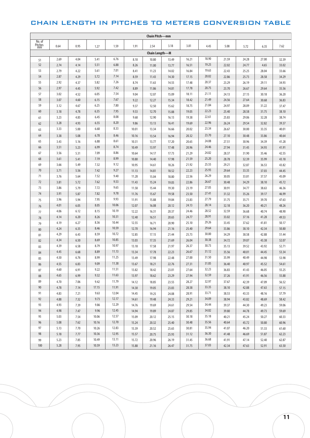### CHAIN LENGTH IN PITCHES TO METERS CONVERSION TABLE

| <b>Chain Pitch-mm</b>                     |      |      |       |       |       |       |       |       |       |       |       |       |       |
|-------------------------------------------|------|------|-------|-------|-------|-------|-------|-------|-------|-------|-------|-------|-------|
| No. of<br>$_\mathrm{mm}^\mathrm{Pitches}$ | 0.64 | 0.95 | 1.27  | 1.59  | 1.91  | 2.54  | 3.18  | 3.81  | 4.45  | 5.08  | 5.72  | 6.35  | 7.62  |
| Chain Length-M                            |      |      |       |       |       |       |       |       |       |       |       |       |       |
| 51                                        | 2.69 | 4.04 | 5.41  | 6.76  | 8.10  | 10.80 | 13.49 | 16.21 | 18.90 | 21.59 | 24.28 | 27.00 | 32.39 |
| 52                                        | 2.74 | 4.14 | 5.51  | 6.88  | 8.26  | 11.00 | 13.77 | 16.51 | 19.25 | 22.02 | 24.77 | 4.65  | 33.02 |
| 53                                        | 2.79 | 4.22 | 5.61  | 7.01  | 8.41  | 11.23 | 14.02 | 16.84 | 19.63 | 22.43 | 25.25 | 28.04 | 33.66 |
| 54                                        | 2.87 | 4.29 | 5.72  | 7.14  | 8.59  | 11.43 | 14.30 | 17.15 | 20.02 | 22.86 | 25.73 | 28.58 | 34.29 |
| 55                                        | 2.92 | 4.37 | 5.82  | 7.26  | 8.74  | 11.63 | 14.55 | 17.48 | 20.37 | 23.29 | 26.19 | 29.11 | 34.93 |
| 56                                        | 2.97 | 4.45 | 5.92  | 7.42  | 8.89  | 11.86 | 14.81 | 17.78 | 20.75 | 23.70 | 26.67 | 29.64 | 35.56 |
| 57                                        | 3.02 | 4.52 | 6.05  | 7.54  | 9.04  | 12.07 | 15.09 | 18.11 | 21.11 | 24.13 | 27.15 | 30.18 | 36.20 |
| 58                                        | 3.07 | 4.60 | 6.15  | 7.67  | 9.22  | 12.27 | 15.34 | 18.42 | 21.49 | 24.56 | 27.64 | 30.68 | 36.83 |
| 59                                        | 3.12 | 4.67 | 6.25  | 7.80  | 9.37  | 12.50 | 15.62 | 18.75 | 21.84 | 24.97 | 28.09 | 31.22 | 37.47 |
| 60                                        | 3.18 | 4.78 | 6.35  | 7.95  | 9.53  | 12.70 | 15.88 | 19.05 | 22.23 | 25.40 | 28.58 | 31.75 | 38.10 |
| 61                                        | 3.23 | 4.85 | 6.45  | 8.08  | 9.68  | 12.90 | 16.13 | 19.38 | 22.61 | 25.83 | 29.06 | 32.28 | 38.74 |
| 62                                        | 3.28 | 4.93 | 6.55  | 8.20  | 9.86  | 13.13 | 16.41 | 19.69 | 22.96 | 26.24 | 29.54 | 32.82 | 39.37 |
| 63                                        | 3.33 | 5.00 | 6.68  | 8.33  | 10.01 | 13.34 | 16.66 | 20.02 | 23.34 | 26.67 | 30.00 | 33.35 | 40.01 |
| 64                                        | 3.38 | 5.08 | 6.78  | 8.46  | 10.16 | 13.54 | 16.94 | 20.32 | 23.70 | 27.10 | 30.48 | 33.86 | 40.64 |
| 65                                        | 3.43 | 5.16 | 6.88  | 8.61  | 10.31 | 13.77 | 17.20 | 20.65 | 24.08 | 27.51 | 30.96 | 34.39 | 41.28 |
| 66                                        | 3.51 | 5.23 | 6.99  | 8.74  | 10.49 | 13.97 | 17.48 | 20.96 | 24.46 | 27.94 | 31.45 | 34.93 | 41.91 |
| 67                                        | 3.56 | 5.31 | 7.09  | 8.86  | 10.64 | 14.17 | 17.73 | 21.29 | 24.82 | 28.37 | 31.90 | 35.46 | 42.55 |
| 68                                        | 3.61 | 5.41 | 7.19  | 8.99  | 10.80 | 14.40 | 17.98 | 21.59 | 25.20 | 28.78 | 32.39 | 35.99 | 43.18 |
| 69                                        | 3.66 | 5.49 | 7.32  | 9.12  | 10.95 | 14.61 | 18.26 | 21.92 | 25.55 | 29.21 | 32.87 | 36.53 | 43.82 |
| 70                                        | 3.71 | 5.56 | 7.42  | 9.27  | 11.13 | 14.81 | 18.52 | 22.23 | 25.93 | 29.64 | 33.35 | 37.03 | 44.45 |
| 71                                        | 3.76 | 5.64 | 7.52  | 9.40  | 11.28 | 15.04 | 18.80 | 22.56 | 26.29 | 30.05 | 33.81 | 37.57 | 45.09 |
| 72                                        | 3.81 | 5.72 | 7.62  | 9.53  | 11.43 | 15.24 | 19.05 | 22.86 | 26.67 | 30.48 | 34.29 | 38.10 | 45.72 |
| 73                                        | 3.86 | 5.79 | 7.72  | 9.65  | 11.58 | 15.44 | 19.30 | 23.19 | 27.05 | 30.91 | 34.77 | 38.63 | 46.36 |
| 74                                        | 3.91 | 5.87 | 7.82  | 9.78  | 11.76 | 15.67 | 19.58 | 23.50 | 27.41 | 31.32 | 35.26 | 39.17 | 46.99 |
| 75                                        | 3.96 | 5.94 | 7.95  | 9.93  | 11.91 | 15.88 | 19.84 | 23.83 | 27.79 | 31.75 | 35.71 | 39.70 | 47.63 |
| 76                                        | 4.01 | 6.05 | 8.05  | 10.06 | 12.07 | 16.08 | 20.12 | 24.13 | 28.14 | 32.18 | 36.20 | 40.21 | 48.26 |
| 77                                        | 4.06 | 6.12 | 8.15  | 10.19 | 12.22 | 16.31 | 20.37 | 24.46 | 28.52 | 32.59 | 36.68 | 40.74 | 48.90 |
| 78                                        | 4.14 | 6.20 | 8.26  | 10.31 | 12.40 | 16.51 | 20.65 | 24.77 | 28.91 | 33.02 | 37.16 | 41.28 | 49.53 |
| 79                                        | 4.19 | 6.27 | 8.36  | 10.44 | 12.55 | 16.71 | 20.90 | 25.10 | 29.26 | 33.45 | 37.62 | 41.81 | 50.17 |
| 80                                        | 4.24 | 6.35 | 8.46  | 10.59 | 12.70 | 16.94 | 21.16 | 25.40 | 29.64 | 33.86 | 38.10 | 42.34 | 50.80 |
| 81                                        | 4.29 | 6.43 | 8.59  | 10.72 | 12.85 | 17.15 | 21.44 | 25.73 | 30.00 | 34.29 | 38.58 | 42.88 | 51.44 |
| 82                                        | 4.34 | 6.50 | 8.69  | 10.85 | 13.03 | 17.35 | 21.69 | 26.04 | 30.38 | 34.72 | 39.07 | 43.38 | 52.07 |
| 83                                        | 4.39 | 6.58 | 8.79  | 10.97 | 13.18 | 17.58 | 21.97 | 26.37 | 30.73 | 35.13 | 39.52 | 43.92 | 52.71 |
| 84                                        | 4.45 | 6.68 | 8.89  | 11.13 | 13.34 | 17.78 | 22.23 | 26.67 | 31.12 | 35.56 | 40.01 | 44.45 | 53.34 |
| 85                                        | 4.50 | 6.76 | 8.99  | 11.25 | 13.49 | 17.98 | 22.48 | 27.00 | 31.50 | 35.99 | 40.49 | 44.98 | 53.98 |
| 86                                        | 4.55 | 6.83 | 9.09  | 11.38 | 13.67 | 18.21 | 22.76 | 27.31 | 31.85 | 36.40 | 40.97 | 45.52 | 54.61 |
| 87                                        | 4.60 | 6.91 | 9.22  | 11.51 | 13.82 | 18.42 | 23.01 | 27.64 | 32.23 | 36.83 | 41.43 | 46.05 | 55.25 |
| 88                                        | 4.65 | 6.99 | 9.32  | 11.63 | 13.97 | 18.62 | 23.29 | 27.94 | 32.59 | 37.26 | 41.91 | 46.56 | 55.88 |
| 89                                        | 4.70 | 7.06 | 9.42  | 11.79 | 14.12 | 18.85 | 23.55 | 28.27 | 32.97 | 37.67 | 42.39 | 47.09 | 56.52 |
| 90                                        | 4.78 | 7.14 | 17.15 | 11.91 | 14.30 | 19.05 | 23.83 | 28.58 | 33.35 | 38.10 | 42.88 | 47.63 | 57.15 |
| 91                                        | 4.83 | 7.21 | 9.63  | 12.04 | 14.45 | 19.25 | 24.08 | 28.91 | 33.71 | 38.53 | 43.33 | 48.16 | 57.79 |
| 92                                        | 4.88 | 7.32 | 9.73  | 12.17 | 14.61 | 19.48 | 24.33 | 29.21 | 34.09 | 38.94 | 43.82 | 48.69 | 58.42 |
| 93                                        | 4.93 | 7.39 | 9.86  | 12.29 | 14.76 | 19.69 | 24.61 | 29.54 | 34.44 | 39.37 | 44.30 | 49.23 | 59.06 |
| 94                                        | 4.98 | 7.47 | 9.96  | 12.45 | 14.94 | 19.89 | 24.87 | 29.85 | 34.82 | 39.80 | 44.78 | 49.73 | 59.69 |
| 95                                        | 5.03 | 7.54 | 10.06 | 12.57 | 15.09 | 20.12 | 25.15 | 30.18 | 35.18 | 40.21 | 45.24 | 50.27 | 60.33 |
| 96                                        | 5.08 | 7.62 | 10.16 | 12.70 | 15.24 | 20.32 | 25.40 | 30.48 | 35.56 | 40.64 | 45.72 | 50.80 | 60.96 |
| 97                                        | 5.13 | 7.70 | 10.26 | 12.83 | 15.39 | 20.52 | 25.65 | 30.81 | 35.94 | 41.07 | 46.20 | 51.33 | 61.60 |
| 98                                        | 5.18 | 7.77 | 10.36 | 12.95 | 15.57 | 20.75 | 25.93 | 31.12 | 36.30 | 41.48 | 46.69 | 51.87 | 62.23 |
| 99                                        | 5.23 | 7.85 | 10.49 | 13.11 | 15.72 | 20.96 | 26.19 | 31.45 | 36.68 | 41.91 | 47.14 | 52.40 | 62.87 |
| 100                                       | 5.28 | 7.95 | 10.59 | 13.23 | 15.88 | 21.16 | 26.47 | 31.75 | 37.03 | 42.34 | 47.63 | 52.91 | 63.50 |